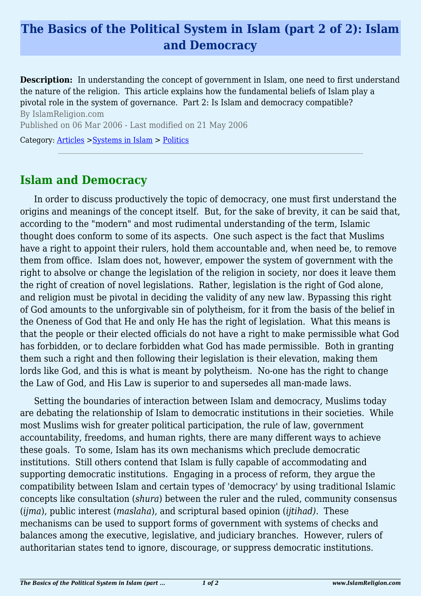## **The Basics of the Political System in Islam (part 2 of 2): Islam and Democracy**

**Description:** In understanding the concept of government in Islam, one need to first understand the nature of the religion. This article explains how the fundamental beliefs of Islam play a pivotal role in the system of governance. Part 2: Is Islam and democracy compatible? By IslamReligion.com Published on 06 Mar 2006 - Last modified on 21 May 2006

Category: [Articles](http://www.islamreligion.com/articles/) >[Systems in Islam](http://www.islamreligion.com/category/91/) > [Politics](http://www.islamreligion.com/category/94/)

## **Islam and Democracy**

In order to discuss productively the topic of democracy, one must first understand the origins and meanings of the concept itself. But, for the sake of brevity, it can be said that, according to the "modern" and most rudimental understanding of the term, Islamic thought does conform to some of its aspects. One such aspect is the fact that Muslims have a right to appoint their rulers, hold them accountable and, when need be, to remove them from office. Islam does not, however, empower the system of government with the right to absolve or change the legislation of the religion in society, nor does it leave them the right of creation of novel legislations. Rather, legislation is the right of God alone, and religion must be pivotal in deciding the validity of any new law. Bypassing this right of God amounts to the unforgivable sin of polytheism, for it from the basis of the belief in the Oneness of God that He and only He has the right of legislation. What this means is that the people or their elected officials do not have a right to make permissible what God has forbidden, or to declare forbidden what God has made permissible. Both in granting them such a right and then following their legislation is their elevation, making them lords like God, and this is what is meant by polytheism. No-one has the right to change the Law of God, and His Law is superior to and supersedes all man-made laws.

Setting the boundaries of interaction between Islam and democracy, Muslims today are debating the relationship of Islam to democratic institutions in their societies. While most Muslims wish for greater political participation, the rule of law, government accountability, freedoms, and human rights, there are many different ways to achieve these goals. To some, Islam has its own mechanisms which preclude democratic institutions. Still others contend that Islam is fully capable of accommodating and supporting democratic institutions. Engaging in a process of reform, they argue the compatibility between Islam and certain types of 'democracy' by using traditional Islamic concepts like consultation (*shura*) between the ruler and the ruled, community consensus (*ijma*), public interest (*maslaha*), and scriptural based opinion (*ijtihad)*. These mechanisms can be used to support forms of government with systems of checks and balances among the executive, legislative, and judiciary branches. However, rulers of authoritarian states tend to ignore, discourage, or suppress democratic institutions.